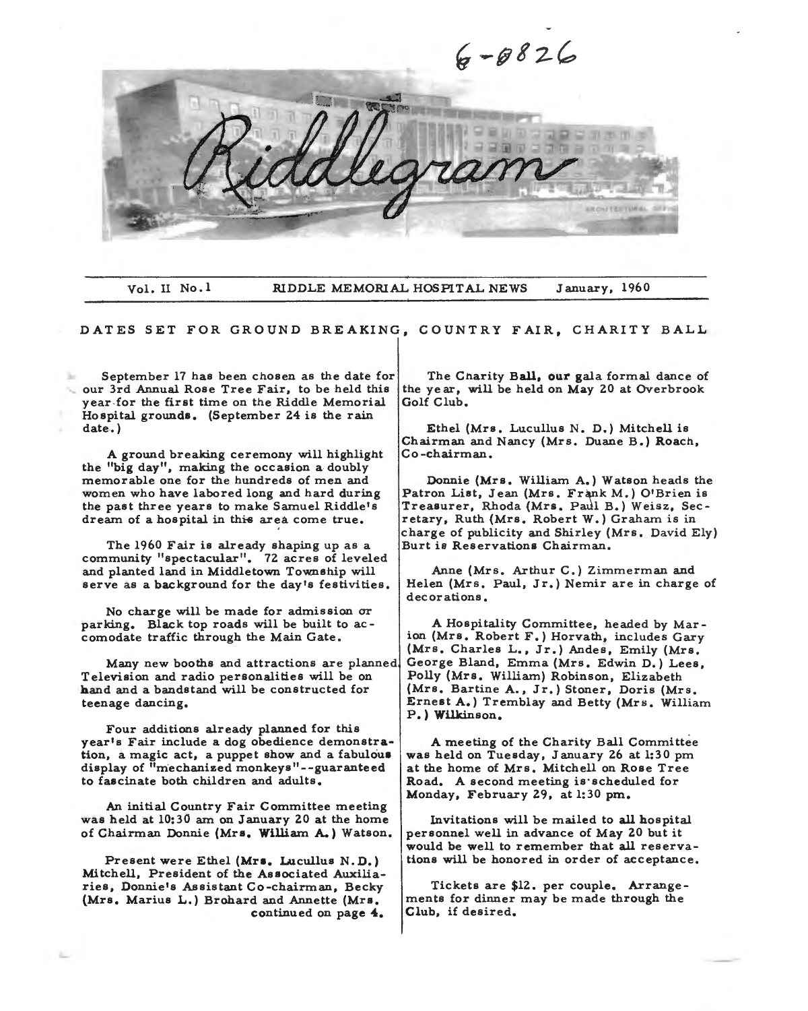

Vol. II No.l RIDDLE MEMORIAL HOSPITAL NEWS January, 1960

DATES SET FOR GROUND BREAKING, COUNTRY FAIR, CHARITY BALL

September 17 has been chosen as the date for our 3rd Annual Rose Tree Fair, *to* be held this year-for the first time on the Riddle Memorial Hospital grounds, (September 24 is the rain date.)

A ground breaking ceremony will highlight the "big day", making the occasion a doubly memorable one for the hundreds of men and women who have labored long and hard during the past three years to make Samuel Riddle's dream of a hospital in this area come true.

The 1960 Fair is already shaping up as a community "spectacular". 72 acres of leveled and planted land in Middletown Township will serve as a background for the day's festivities.

No charge will be made for admission or parking. Black top roads will be built to accomodate traffic through the Main Gate,

Many new booths and attractions are planned Television and radio personalities will be on **hand** and a bandstand will be constructed for teenage dancing,

Four additions already planned for this year's Fair include a dog obedience demonstration, a magic act, a puppet show and a fabulous display of "mechanized monkeys"--guaranteed to fascinate both children and adults.

An initial Country Fair Committee meeting was held at 10:30 am on January 20 at the home of Chairman Donnie **(Mrs, William A.)** Watson,

Present were Ethel **(Mrs,** Lucullus N. D.) Mitchell, President of the Associated Auxiliaries, Donnie's Assistant Co-chairman, Becky **(Mrs,** Marius L.) Brohard and Annette (Mrs, continued on page **4,** 

The Charity Ball, **our** gala formal dance of the year, will be held on May 20 at Overbrook Golf Club,

Ethel (Mrs. Lucullus N. D.) Mitchell is Chairman and Nancy (Mrs. Duane B.) Roach, Co-chairman.

Donnie (Mrs. William A.) Watson heads the Patron List, Jean (Mrs. Frank M.) O'Brien is Treasurer, Rhoda (Mrs. Paul B.) Weisz, Secretary, Ruth (Mrs. Robert W.) Graham is in charge of publicity and Shirley (Mrs. David Ely) Burt is Reservations Chairman.

Anne (Mrs, Arthur C.) Zimmerman and Helen (Mrs, Paul, Jr.) Nemir are in charge of decorations,

A Hospitality Committee, headed by Mar ion (Mrs. Robert F.) Horvath, includes Gary (Mrs, Charles L., Jr,) Andes, Emily (Mrs. George Bland, Emma (Mrs, Edwin D.) Lees, Polly (Mrs, William) Robinson, Elizabeth (Mrs, Bartine A., Jr.) Stoner, Doris (Mrs. Ernest **A.)** Tremblay and Betty (Mrs. William P,) **Wilkinson.** 

A meeting of the Charity Ball Committee was held on Tuesday, January 26 at 1:30 pm at the home of Mrs. Mitchell on Rose Tree Road, A second meeting is·scheduled for Monday, February 29, at 1:30 pm.

Invitations will be mailed to all hospital personnel well in advance of May 20 but it would be well to remember that all reservations will be honored in order of acceptance.

Tickets are \$12. per couple. Arrangements for dinner may be made through the Club, if desired,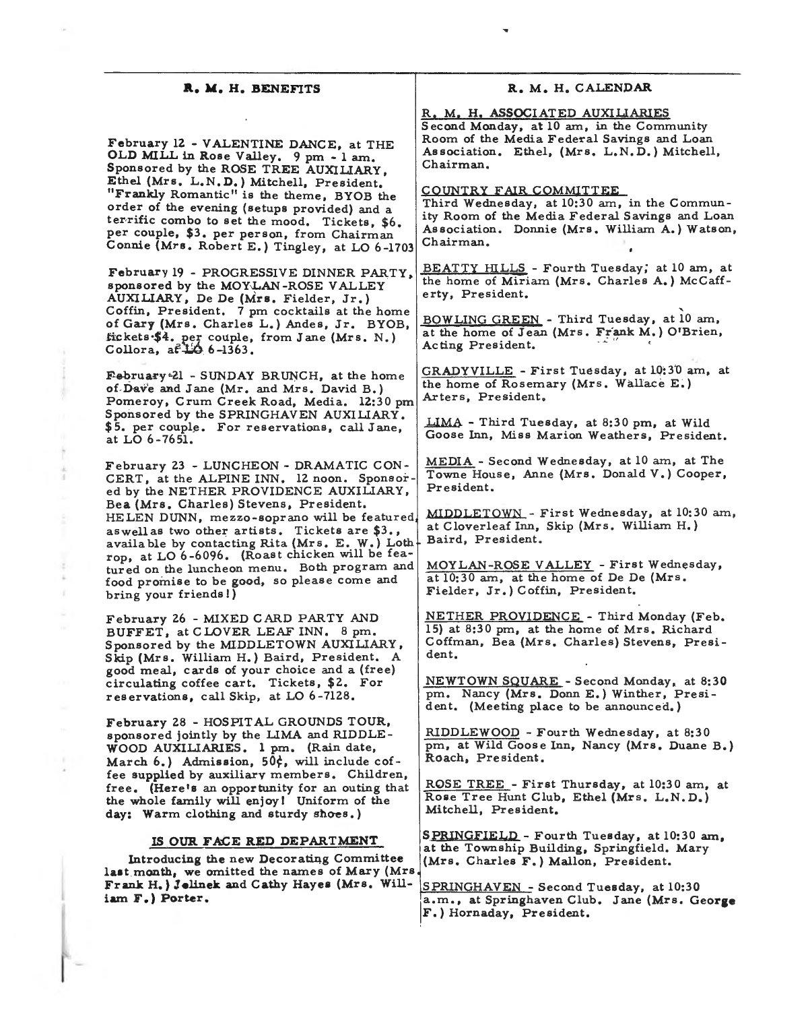### **R. M. H. BENEFITS**

February 12 - VALENTINE DANCE, at THE OLD MILL in Rose Valley, 9 pm - lam, Sponsored by the ROSE TREE AUXILIARY, Ethel (Mrs. L.N.D.) Mitchell, Preside "Frankly Romantic" is the theme, BYOB the order of the evening (setups provided) and a terrific combo to set the mood. Tickets, \$6. per couple, \$3. per person, from Chairman Connie (Mrs. Robert E.) Tingley, at LO 6-1703

February 19 - PROGRESSIVE DINNER PARTY, sponsored by the MOYLAN-ROSE VALLEY AUXILIARY, De De (Mrs, Fielder, Jr.) Coffin, President. 7 pm cocktails at the home of Gary (Mrs. Charles L.) Andes, Jr. BYOB, fickets•\$4. per couple, from Jane (Mrs. N.) Collora, af 150 6-1363

February 21 - SUNDAY BRUNCH, at the home of-Dav'e and Jane (Mr. and Mrs. David B.) Pomeroy, Crum Creek Road, Media. 12:30 pm Sponsored by the SPRINGHAVEN AUXILIARY. \$5. per couple. For reservations, call Jane, at LO 6-7651.

February 23 - LUNCHEON - DRAMATIC CON-CERT, at the ALPINE INN. 12 noon. Sponsored by the NETHER PROVIDENCE AUXILIARY, Bea (Mrs, Charles) Stevens, President. HELEN DUNN, mezzo-soprano will be featured. aswellas two other artists. Tickets are \$3., available by contacting Rita (Mrs. E. W.) Loth rop, at LO 6-6096. (Roast chicken will be featured on the luncheon menu. Both program and food promise to be good, so please come and bring your friends!)

February 26 - MIXED CARD PARTY AND BUFFET, at CLOVER LEAF INN. 8 pm. Sponsored by the MIDDLETOWN AUXILIARY, Skip (Mrs. William H.) Baird, President. A good meal, cards of your choice and a (free) circulating coffee cart. Tickets, \$2. For reservations, call Skip, at LO 6-7128.

February 28 - HOSPITAL GROUNDS TOUR, sponsored jointly by the **LIMA** and RIDDLE-**WOOD AUXILIARIES. l** pm. (Rain date, March 6.) **Admission,** 50¢, will include coffee supplied by auxiliary members. Children, free. (Here's an opportunity for an outing that the whole family will enjoy I Uniform of the day: Warm clothing and sturdy shoes.)

## IS OUR FACE RED DEPARTMENT

Introducing the new Decorating Committee **last.month, we** omitted the names of Mary (Mrs Frank H.) **Jelinek** and Cathy Hayes (Mrs. William **F.) Porter.** 

## **R. M. H. CALENDAR**

R. M. H. **ASSOCIATED** AUXILIARIES Second Monday, at 10 am, in the Community

Room of the Media Federal Savings and Loan Association. Ethel, (Mrs. L.N. D.) Mitchell, Chairman.

COUNTRY FAIR COMMITTEE

Third Wednesday, at 10:30 am, in the Community Room of the Media Federal Savings and Loan Association. Donnie (Mrs. William A.) Watson, Chairman.

BEATTY HILLS - Fourth Tuesday; at 10 am, at the home of Miriam (Mrs. Charles **A.)** McCafferty, President.

' BOWLING GREEN - Third Tuesday, at 10 am, at the home of Jean (Mrs. Frank **M.)** O'Brien, Acting President.

GRADYVILLE - First Tuesday, at 10:30 am, at the home of Rosemary (Mrs. Wallace E.) Arters, President,

LIMA - Third Tuesday, at 8:30 pm, at Wild Goose Inn, Miss Marion Weathers, President.

MEDIA - Second Wednesday, at 10 am, at The Towne House, Anne (Mrs. Donald V.) Cooper, President.

**MIDDLETOWN** - First Wednesday, at 10:30 am, at Cloverleaf Inn, Skip (Mrs. William H.) Baird, President.

MOYLAN-ROSE VALLEY - First Wednesday, at 10:30 am, at the home of De De (Mrs. Fielder, Jr.) Coffin, President.

NETHER PROVIDENCE - Third Monday (Feb. 15) at 8:30 pm, at the home of Mrs. Richard Coffman, Bea (Mrs. Charles) Stevens, President.

NEWTOWN SQUARE - Second Monday, at **8:30**  pm. Nancy (Mrs. Donn E.) Winther, President. (Meeting place to be announced.)

RIDDLEWOOD - Fourth Wednesday, at 8:30 pm, at Wild Goose Inn, Nancy (Mrs. Duane B.) Roach, President.

ROSE TREE - First Thursday, at 10:30 am, **at**  Rose Tree Hunt Club, Ethel (Mrs. L.N.D.) Mitchell, President.

SPRINGFIELD - Fourth Tuesday, at 10:30 am, **at** the Township Building, Springfield. Mary (Mrs. Charles F.) Mallon, President.

SPRINGHAVEN - Second Tuesday, at 10:30 a.m., at Springhaven Club. Jane (Mrs. **George F.)** Hornaday, President.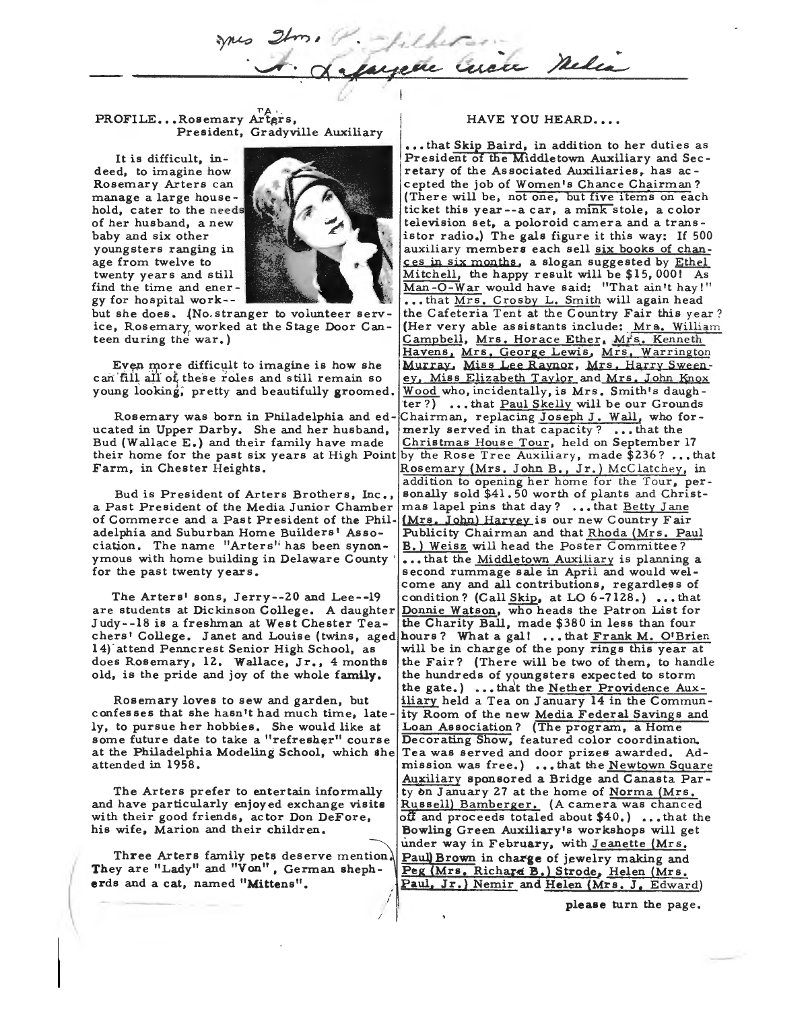Curace Meles

PROFILE... Rosemary Arters, President, Gradyville Auxiliary

It is difficult, indeed, to imagine how Rosemary Arters can manage a large household, cater to the needs of her husband, a new baby and six other youngsters ranging in age from twelve to twenty years and still find the time and ener gy for hospital work--



*(J* 

but she does. (No stranger to volunteer service, Rosemary worked at the Stage Door Can**teen** during the war.)

Even more difficult to imagine is how she can fill all of these roles and still remain so young looking, pretty and beautifully groomed.

ucated in Upper Darby. She and her husband, Bud (Wallace E.) and their family have made  $\boxed{\text{Christmas House Tour}}$ , held on September 17

a Past President of the Media Junior Chamber mas lapel pins that day? ... that Betty Jane of Commerce and a Past President of the Phil• (Mrs, John) **Harvey** is our new Country Fair ciation. The name "Arters" has been synon-

are students at Dickinson College. A daughter Donnie Watson, who heads the Patron List for Judy--18 is a freshman at West Chester Tea- the Charity Ball, made \$380 in less than four

Rosemary loves to sew and garden, **but**  confesses that she hasn't had much time, lately, to pursue her hobbies. She would like at some future date to take a "refresher" course at the Philadelphia Modeling School, which she attended in 1958.

The Arters prefer to entertain informally and have particularly enjoyed exchange **visits**  with their good friends, actor Don DeFore, his wife, Marion and their children.

Three Arters family pets deserve mention. They are "Lady" and "Von", German sheph**erds** and **a** cat, named **"Mittens".** 

#### HAVE YOU HEARD....

••• that Skip Baird, in addition to her duties as President of the Middletown Auxiliary and Seeretary of the Associated Auxiliaries, has accepted the job of Women's Chance Chairman? (There will be, not one, but five items on each ticket this year--a car, a mink stole, a color television set, a poloroid camera and a transistor radio.) The gals figure it this way: If 500 auxiliary members each sell six books of chances in six months, a slogan suggested by Ethel Mitchell, the happy result will be \$15, 000! As Man-O-War would have said: "That ain't hay!" ••. that Mrs. Crosby L. Smith will again head the Cafeteria Tent at the Country Fair this year? (Her very able assistants include: Mrs. William Campbell, Mrs. Horace Ether, Mrs. Kenneth Havens, Mrs. George Lewis, Mrs, Warrington Murray. Miss Lee Raynor, Mrs. Harry Sweeney, Miss Elizabeth Taylor and Mrs. John Knox Wood who, incidentally, is Mrs. Smith's daughter?) •.• that Paul Skelly will be our Grounds Rosemary was born in Philadelphia and ed-Chairman, replacing Joseph J. Wall, who for-<br>ted in Upper Darby. She and her husband, merly served in that capacity?...that the their home for the past six years at High Point by the Rose Tree Auxiliary, made \$236? ... that Farm, in Chester Heights. Rosemary (Mrs. John B., Jr.) McClatchey, in addition to opening her home for the Tour, per-Bud is President of Arters Brothers, Inc., sonally sold \$41.50 worth of plants and Christadelphia and Suburban Home Builders' Asso-<br>ciation. The name "Arters' has been synon-<br>B.) Weisz will head the Poster Committee? ymous with home building in Delaware County  $|...$  that the Middletown Auxiliary is planning a for the past twenty years. Second rummage sale in April and would welcome any and all contributions, regardless of The Arters' sons, Jerry--20 and Lee--19  $\vert$  condition? (Call Skip, at LO 6-7128.) ... that chers' College. Janet and Louise (twins, aged hours? What a gal! ... that Frank M. O'Brien 14) attend Penncrest Senior High School, as will be in charge of the pony rings this year at does Rosemary, 12. Wallace, Jr., 4 months the Fair? (There will be two of them, to handle old, is the pride and joy of the whole **family,** the hundreds of youngsters expected to storm the gate.) ... that the Nether Providence Auxiliary held a Tea on January 14 in the Community Room of the new Media Federal Savings and Loan Association? (The program, a Home Decorating Show, featured color coordination. Tea was served and door prizes awarded. Admission was free.) ... that the Newtown Square Auxiliary sponsored a Bridge and Canasta Party on January 27 at the home of Norma (Mrs. Russell) Bamberger. (A camera was chanced off and proceeds totaled about  $$40.$ )...that the Bowling Green Auxiliary's workshops will get under way in February, with Jeanette (Mrs. Paul) Brown in charge of jewelry making and Peg (Mrs. Richard B.) Strode, Helen (Mrs. Paul, Jr.) Nemir and Helen (Mrs. J. Edward)

please turn the page.